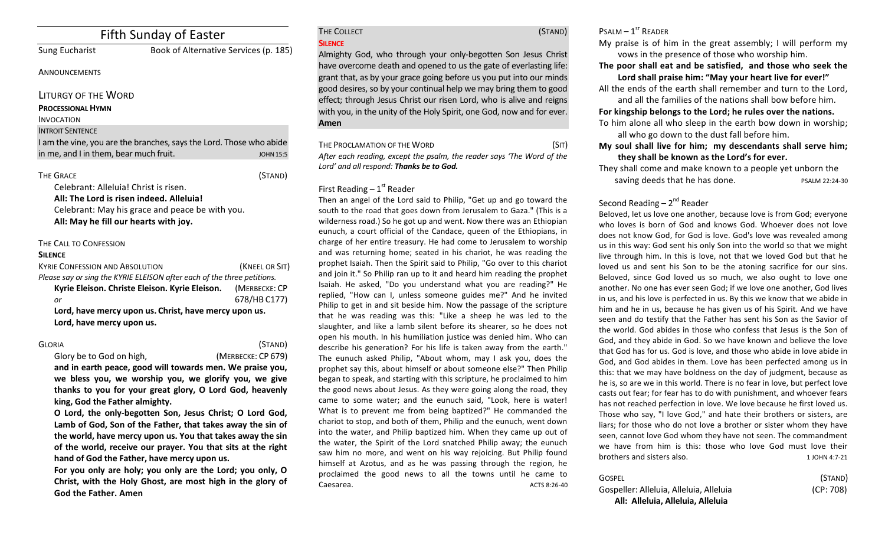# Fifth Sunday of Easter

## Sung Eucharist Book of Alternative Services (p. 185)

**ANNOUNCEMENTS** 

### LITURGY OF THE WORD

#### **PROCESSIONAL HYMN**

#### INVOCATION

### **INTROIT SENTENCE**

I am the vine, you are the branches, says the Lord. Those who abide in me, and I in them, bear much fruit. The metal of the state of the state of the state of the state of the state of the state of the state of the state of the state of the state of the state of the state of the state of t

| THE GRACE |  |
|-----------|--|
|-----------|--|

(STAND)

Celebrant: Alleluia! Christ is risen. All: The Lord is risen indeed. Alleluia! Celebrant: May his grace and peace be with you. All: May he fill our hearts with joy.

### THE CALL TO CONFESSION

### **SILENCE**

| <b>KYRIE CONFESSION AND ABSOLUTION</b>                                  | (KNEEL OR SIT) |
|-------------------------------------------------------------------------|----------------|
| Please say or sing the KYRIE ELEISON after each of the three petitions. |                |
| Kyrie Eleison. Christe Eleison. Kyrie Eleison. (MERBECKE: CP            |                |
| or                                                                      | 678/HB C177)   |
| Lord, have mercy upon us. Christ, have mercy upon us.                   |                |
| Lord, have mercy upon us.                                               |                |

#### GLORIA (STAND)

Glory be to God on high, *(MERBECKE: CP 679)* and in earth peace, good will towards men. We praise you, we bless you, we worship you, we glorify you, we give thanks to you for your great glory, O Lord God, heavenly king, God the Father almighty.

**O** Lord, the only-begotten Son, Jesus Christ; O Lord God, Lamb of God, Son of the Father, that takes away the sin of the world, have mercy upon us. You that takes away the sin of the world, receive our prayer. You that sits at the right hand of God the Father, have mercy upon us.

For you only are holy; you only are the Lord; you only, O Christ, with the Holy Ghost, are most high in the glory of God the Father. Amen

#### THE COLLECT (STAND) **SILENCE**

Almighty God, who through your only-begotten Son Jesus Christ have overcome death and opened to us the gate of everlasting life: grant that, as by your grace going before us you put into our minds good desires, so by your continual help we may bring them to good effect; through Jesus Christ our risen Lord, who is alive and reigns with you, in the unity of the Holy Spirit, one God, now and for ever. **Amen**

| THE PROCLAMATION OF THE WORD                                           | (SIT) |
|------------------------------------------------------------------------|-------|
| After each reading, except the psalm, the reader says 'The Word of the |       |
| Lord' and all respond: Thanks be to God.                               |       |

### First Reading  $-1<sup>st</sup>$  Reader

Then an angel of the Lord said to Philip, "Get up and go toward the south to the road that goes down from Jerusalem to Gaza." (This is a wilderness road.) So he got up and went. Now there was an Ethiopian eunuch, a court official of the Candace, queen of the Ethiopians, in charge of her entire treasury. He had come to Jerusalem to worship and was returning home; seated in his chariot, he was reading the prophet Isaiah. Then the Spirit said to Philip, "Go over to this chariot and join it." So Philip ran up to it and heard him reading the prophet Isaiah. He asked, "Do you understand what you are reading?" He replied, "How can I, unless someone guides me?" And he invited Philip to get in and sit beside him. Now the passage of the scripture that he was reading was this: "Like a sheep he was led to the slaughter, and like a lamb silent before its shearer, so he does not open his mouth. In his humiliation justice was denied him. Who can describe his generation? For his life is taken away from the earth." The eunuch asked Philip, "About whom, may I ask you, does the prophet say this, about himself or about someone else?" Then Philip began to speak, and starting with this scripture, he proclaimed to him the good news about Jesus. As they were going along the road, they came to some water; and the eunuch said, "Look, here is water! What is to prevent me from being baptized?" He commanded the chariot to stop, and both of them, Philip and the eunuch, went down into the water, and Philip baptized him. When they came up out of the water, the Spirit of the Lord snatched Philip away; the eunuch saw him no more, and went on his way rejoicing. But Philip found himself at Azotus, and as he was passing through the region, he proclaimed the good news to all the towns until he came to Caesarea. ACTS 8:26-40  $P$ SALM –  $1<sup>ST</sup>$  READER

My praise is of him in the great assembly; I will perform my vows in the presence of those who worship him.

The poor shall eat and be satisfied, and those who seek the Lord shall praise him: "May your heart live for ever!"

All the ends of the earth shall remember and turn to the Lord, and all the families of the nations shall bow before him.

For kingship belongs to the Lord; he rules over the nations.

- To him alone all who sleep in the earth bow down in worship; all who go down to the dust fall before him.
- **My** soul shall live for him; my descendants shall serve him; they shall be known as the Lord's for ever.

They shall come and make known to a people yet unborn the saving deeds that he has done. The PSALM 22:24-30

### Second Reading  $- 2<sup>nd</sup>$  Reader

Beloved, let us love one another, because love is from God; everyone who loves is born of God and knows God. Whoever does not love does not know God, for God is love. God's love was revealed among us in this way: God sent his only Son into the world so that we might live through him. In this is love, not that we loved God but that he loved us and sent his Son to be the atoning sacrifice for our sins. Beloved, since God loved us so much, we also ought to love one another. No one has ever seen God; if we love one another, God lives in us, and his love is perfected in us. By this we know that we abide in him and he in us, because he has given us of his Spirit. And we have seen and do testify that the Father has sent his Son as the Savior of the world. God abides in those who confess that Jesus is the Son of God, and they abide in God. So we have known and believe the love that God has for us. God is love, and those who abide in love abide in God, and God abides in them. Love has been perfected among us in this: that we may have boldness on the day of judgment, because as he is, so are we in this world. There is no fear in love, but perfect love casts out fear; for fear has to do with punishment, and whoever fears has not reached perfection in love. We love because he first loved us. Those who say, "I love God," and hate their brothers or sisters, are liars; for those who do not love a brother or sister whom they have seen, cannot love God whom they have not seen. The commandment we have from him is this: those who love God must love their brothers and sisters also. The same state of the state of the 1 JOHN 4:7-21

| GOSPEL                                  | (STAND)   |
|-----------------------------------------|-----------|
| Gospeller: Alleluia, Alleluia, Alleluia | (CP: 708) |
| All: Alleluia, Alleluia, Alleluia       |           |